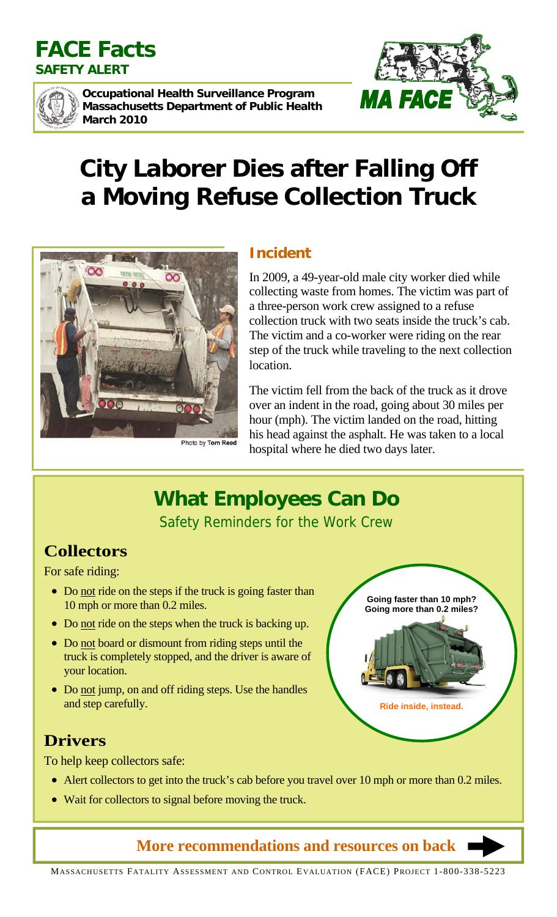



**Occupational Health Surveillance Program Massachusetts Department of Public Health March 2010** 



# **City Laborer Dies after Falling Off a Moving Refuse Collection Truck**



# **Incident**

In 2009, a 49-year-old male city worker died while collecting waste from homes. The victim was part of a three-person work crew assigned to a refuse collection truck with two seats inside the truck's cab. The victim and a co-worker were riding on the rear step of the truck while traveling to the next collection location.

The victim fell from the back of the truck as it drove over an indent in the road, going about 30 miles per hour (mph). The victim landed on the road, hitting his head against the asphalt. He was taken to a local hospital where he died two days later.

# **What Employees Can Do**

Safety Reminders for the Work Crew

# **Collectors**

For safe riding:

- Do not ride on the steps if the truck is going faster than 10 mph or more than 0.2 miles.
- Do not ride on the steps when the truck is backing up.
- Do not board or dismount from riding steps until the truck is completely stopped, and the driver is aware of your location.
- Do not jump, on and off riding steps. Use the handles and step carefully.

# **Drivers**

To help keep collectors safe:

- Alert collectors to get into the truck's cab before you travel over 10 mph or more than 0.2 miles.
- Wait for collectors to signal before moving the truck.

 **More recommendations and resources on back**